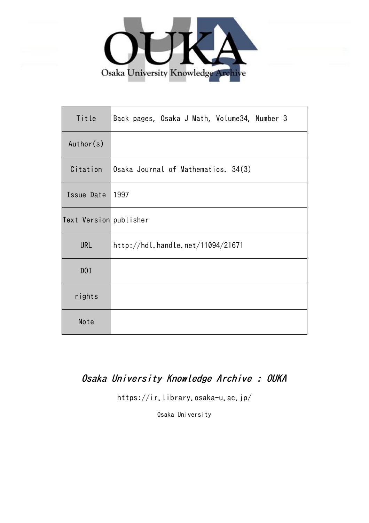

| Title                  | Back pages, Osaka J Math, Volume34, Number 3 |
|------------------------|----------------------------------------------|
| Author(s)              |                                              |
| Citation               | Osaka Journal of Mathematics. 34(3)          |
| Issue Date             | 1997                                         |
| Text Version publisher |                                              |
| <b>URL</b>             | http://hdl.handle.net/11094/21671            |
| D0I                    |                                              |
| rights                 |                                              |
| Note                   |                                              |

## Osaka University Knowledge Archive : OUKA

https://ir.library.osaka-u.ac.jp/

Osaka University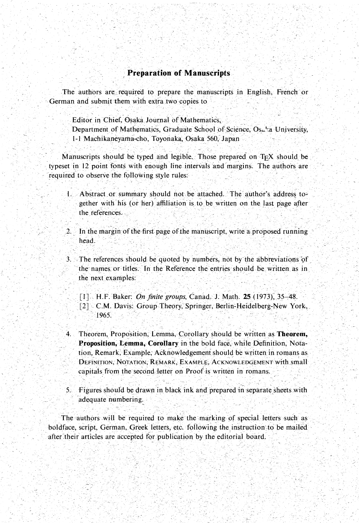## **Preparation of Manuscripts**

The authors are required to prepare the manuscripts in English, French or German and submit them with extra two copies to

Editor in Chief, Osaka Journal of Mathematics,

Department of Mathematics, Graduate School of Science, Osa'a University, 1-1 Machikaneyarna-cho, Toyonaka, Osaka 560, Japan .

Manuscripts should be typed and legible. Those prepared on  $T_FX$  should be typeset in 12 point fonts with enough line intervals and margins. The authors are required to observe the following style rules:

- 1. Abstract or summary should not be attached. The author's address together with his (or her) affiliation is to be written on the last page after the references.
- 2. In the margin of the first page of the manuscript, write a proposed running head, ,
- $3.$  The references should be quoted by numbers, not by the abbreviations of the names or titles. In the Reference the entries should be written as in the next examples:
	- , [ I ] H.F. Baker: *On finite groups,* Canad, J. Math. 25 (1973); 35-4\$.
	- [2] C.M. Davis: Group Theory, Springer, Berlin-Heidelberg-New York,<br>1965.
- 4. Theorem, Proposition, Lemma, Corollary should be written as **Theorem, Proposition, Lemma, Corollary** in the bold face, while Definition, Nota- . tion, Remark, Example, Acknowledgement should be written in rornans as DEFINITION, NOTATION, REMARK, EXAMPLE, ACKNOWLEDGEMENT with small capitals from the second letter on Proof is written in romans.
- 5. Figures should be drawn in black ink and prepared in separate sheets with adequate numbering.

The authors will be required to make the marking of special letters such as boldface, script, German, Greek letters, etc. following the instruction to be mailed after their articles are accepted for publication by the editorial board.